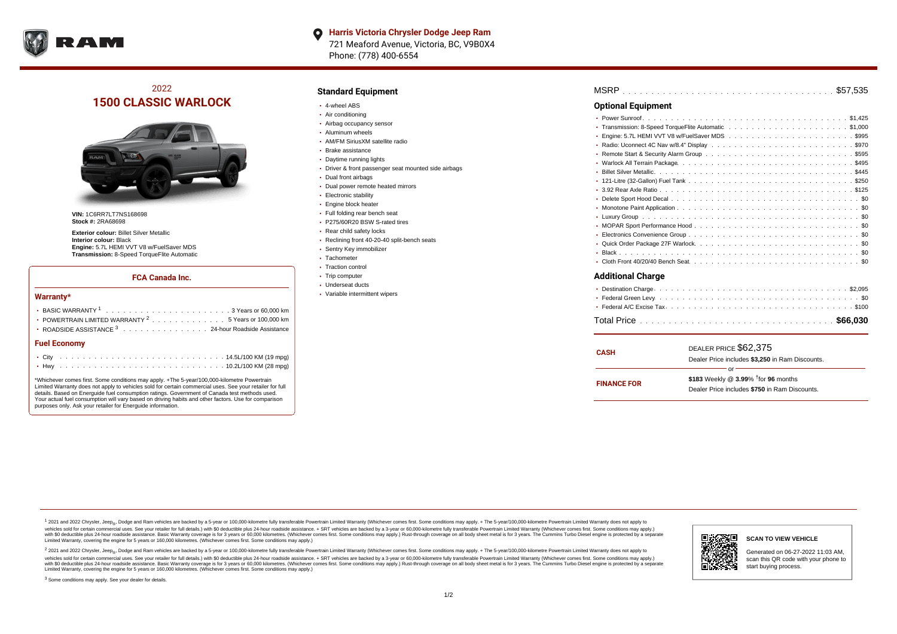

# 2022 **1500 CLASSIC WARLOCK**



**VIN:** 1C6RR7LT7NS168698 **Stock #:** 2RA68698

**Exterior colour:** Billet Silver Metallic **Interior colour:** Black **Engine:** 5.7L HEMI VVT V8 w/FuelSaver MDS **Transmission:** 8-Speed TorqueFlite Automatic

#### **FCA Canada Inc.**

#### **Warranty\***

| POWERTRAIN LIMITED WARRANTY $2, \ldots, \ldots, \ldots, \ldots, 5$ Years or 100,000 km |  |  |  |  |  |
|----------------------------------------------------------------------------------------|--|--|--|--|--|
| • ROADSIDE ASSISTANCE 3 24-hour Roadside Assistance                                    |  |  |  |  |  |
| <b>Fuel Economy</b>                                                                    |  |  |  |  |  |
|                                                                                        |  |  |  |  |  |

\*Whichever comes first. Some conditions may apply. +The 5-year/100,000-kilometre Powertrain Limited Warranty does not apply to vehicles sold for certain commercial uses. See your retailer for full details. Based on Energuide fuel consumption ratings. Government of Canada test methods used. Your actual fuel consumption will vary based on driving habits and other factors. Use for comparison purposes only. Ask your retailer for Energuide information.

. . . . . . . . . . . . . . . . . . . . . . . . . . . . . . . . . . . . . . . . . . . Hwy 10.2L/100 KM (28 mpg)

### **Standard Equipment**

- 4-wheel ABS
- Air conditioning
- Airbag occupancy sensor
- Aluminum wheels
- AM/FM SiriusXM satellite radio
- Brake assistance
- Daytime running lights
- Driver & front passenger seat mounted side airbags
- Dual front airbags
- Dual power remote heated mirrors
- **Electronic stability**
- Engine block heater
- Full folding rear bench seat
- P275/60R20 BSW S-rated tires
- Rear child safety locks
- Reclining front 40-20-40 split-bench seats
- Sentry Key immobilizer Tachometer
- Traction control
- Trip computer
- Underseat ducts
- Variable intermittent wipers

| <b>Optional Equipment</b> |
|---------------------------|
|                           |
| ٠                         |
| ٠                         |
|                           |
|                           |
| ٠                         |
| $\bullet$                 |
| ٠                         |
|                           |
| ٠                         |
|                           |
| ٠                         |
| ٠                         |
| ٠                         |
|                           |
|                           |
|                           |
| <b>Additional Charge</b>  |
| ٠                         |
|                           |
|                           |
|                           |

| <b>CASH</b>        | DEALER PRICE \$62,375<br>Dealer Price includes \$3,250 in Ram Discounts.                                  |  |  |  |  |  |
|--------------------|-----------------------------------------------------------------------------------------------------------|--|--|--|--|--|
| <b>FINANCE FOR</b> | or<br>\$183 Weekly @ $3.99\%$ <sup>†</sup> for 96 months<br>Dealer Price includes \$750 in Ram Discounts. |  |  |  |  |  |

<sup>1</sup> 2021 and 2022 Chrysler, Jeep<sub>®</sub>, Dodge and Ram vehicles are backed by a 5-year or 100,000-kilometre fully transferable Powertrain Limited Warranty (Whichever comes first. Some conditions may apply. + The 5-year/100,000 vehicles sold for certain commercial uses. See your retailer for full details.) with \$0 deductible plus 24 hour roadside assistance. + SRT vehicles are backed by a 3-year or 60,000-kilometre fully transferable Powertrain L versus and contract the mean of the contract of the contract with a contract with a contract the contract of the contract of the contract the contract of the contract of the contract of the contract of the contract of the Limited Warranty, covering the engine for 5 years or 160,000 kilometres. (Whichever comes first. Some conditions may apply.)

2 2021 and 2022 Chrysler, Jeep<sub>®</sub>, Dodge and Ram vehicles are backed by a 5-year or 100,000-kilometre fully transferable Powertrain Limited Warranty (Whichever comes first. Some conditions may apply. + The 5-year/100,000-k vehicles sold for certain commercial uses. See your retailer for full details.) with SO deductible plus 24-hour roadside assistance. + SRT vehicles are backed by a 3-year or 60.000-kilometre fully transferable Powertrain L with S0 deductible plus 24-hour roadside assistance. Basic Warranty coverage is for 3 years or 60,000 kilometres. (Whichever comes first. Some conditions may apply.) Rust-through coverage on all body sheet metal is for 3 y

<sup>3</sup> Some conditions may apply. See your dealer for details.



Generated on 06-27-2022 11:03 AM, scan this QR code with your phone to start buying process.